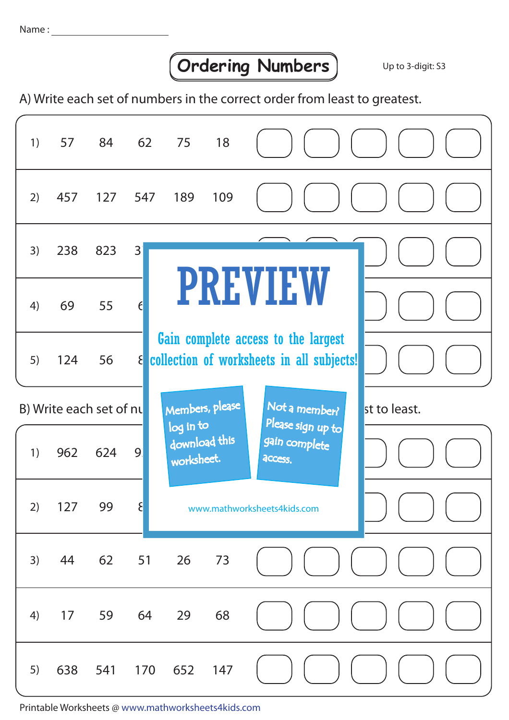## **Ordering Numbers** Up to 3-digit: S3

A) Write each set of numbers in the correct order from least to greatest.

| 1)                      | 57  | 84  |              | 62 75 18                                                                         |               |                                               |              |
|-------------------------|-----|-----|--------------|----------------------------------------------------------------------------------|---------------|-----------------------------------------------|--------------|
| 2)                      | 457 | 127 | 547          | 189                                                                              | 109           |                                               |              |
| 3)                      | 238 | 823 | 3            |                                                                                  |               |                                               |              |
| 4)                      | 69  | 55  | $\epsilon$   |                                                                                  |               | <b>PREVIEW</b>                                |              |
| 5)                      | 124 | 56  | $\mathsf{S}$ | Gain complete access to the largest<br>collection of worksheets in all subjects! |               |                                               |              |
| B) Write each set of nu |     |     |              | Members, please<br>Not a member?                                                 |               |                                               | st to least. |
| 1)                      | 962 | 624 | 9            | log in to<br>worksheet.                                                          | download this | Please sign up to<br>gain complete<br>access. |              |
| 2)                      | 127 | 99  | $\mathsf{S}$ |                                                                                  |               | www.mathworksheets4kids.com                   |              |
| 3)                      | 44  | 62  | 51           | 26                                                                               | 73            |                                               |              |
| 4)                      | 17  | 59  | 64           | 29                                                                               | 68            |                                               |              |
| 5)                      | 638 | 541 | 170          | 652                                                                              | 147           |                                               |              |

Printable Worksheets @ www.mathworksheets4kids.com